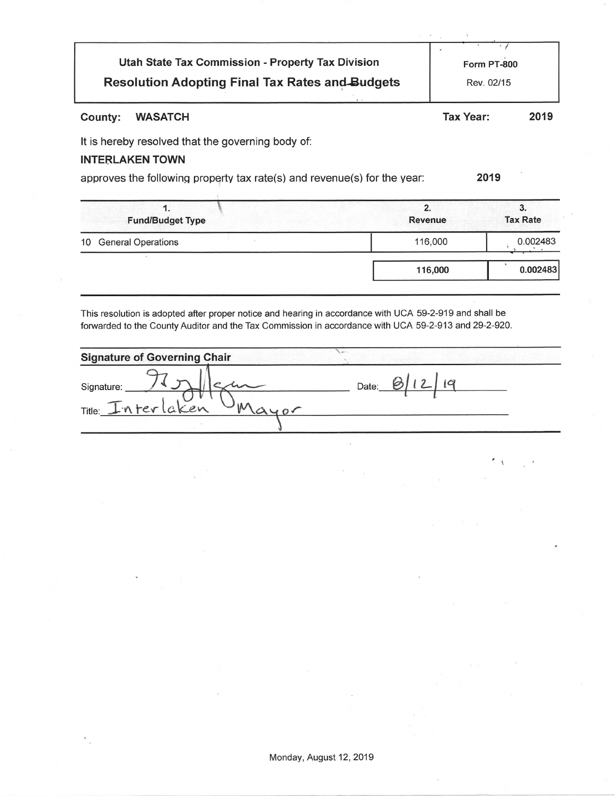| Utah State Tax Commission - Property Tax Division      | Form PT-800 |
|--------------------------------------------------------|-------------|
| <b>Resolution Adopting Final Tax Rates and Budgets</b> | Rev. 02/15  |

#### County: **WASATCH**

**Tax Year:** 

2019

It is hereby resolved that the governing body of:

#### **INTERLAKEN TOWN**

approves the following property tax rate(s) and revenue(s) for the year:

2019

| . .<br><b>Fund/Budget Type</b>  | 2.<br><b>Revenue</b> | 3.<br><b>Tax Rate</b> |
|---------------------------------|----------------------|-----------------------|
| <b>General Operations</b><br>10 | 116,000              | 0.002483              |
|                                 | 116,000              | 0.002483              |

This resolution is adopted after proper notice and hearing in accordance with UCA 59-2-919 and shall be forwarded to the County Auditor and the Tax Commission in accordance with UCA 59-2-913 and 29-2-920.

| <b>Signature of Governing Chair</b> |       |
|-------------------------------------|-------|
| Signature:<br>Title: Interlaken     | Date: |
|                                     |       |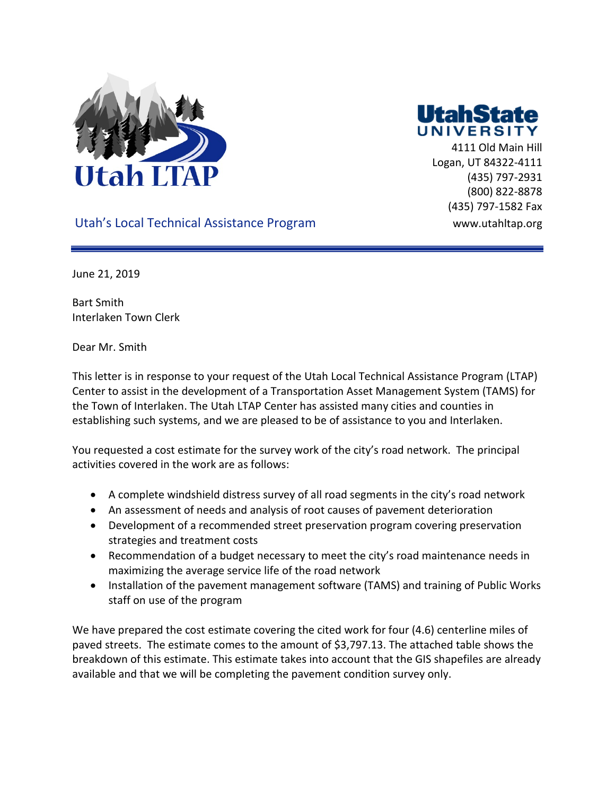



 4111 Old Main Hill Logan, UT 84322-4111 (435) 797-2931 (800) 822-8878 (435) 797-1582 Fax

#### Utah's Local Technical Assistance Program Washington www.utahltap.org

June 21, 2019

Bart Smith Interlaken Town Clerk

Dear Mr. Smith

This letter is in response to your request of the Utah Local Technical Assistance Program (LTAP) Center to assist in the development of a Transportation Asset Management System (TAMS) for the Town of Interlaken. The Utah LTAP Center has assisted many cities and counties in establishing such systems, and we are pleased to be of assistance to you and Interlaken.

You requested a cost estimate for the survey work of the city's road network. The principal activities covered in the work are as follows:

- A complete windshield distress survey of all road segments in the city's road network
- An assessment of needs and analysis of root causes of pavement deterioration
- Development of a recommended street preservation program covering preservation strategies and treatment costs
- Recommendation of a budget necessary to meet the city's road maintenance needs in maximizing the average service life of the road network
- Installation of the pavement management software (TAMS) and training of Public Works staff on use of the program

We have prepared the cost estimate covering the cited work for four (4.6) centerline miles of paved streets. The estimate comes to the amount of \$3,797.13. The attached table shows the breakdown of this estimate. This estimate takes into account that the GIS shapefiles are already available and that we will be completing the pavement condition survey only.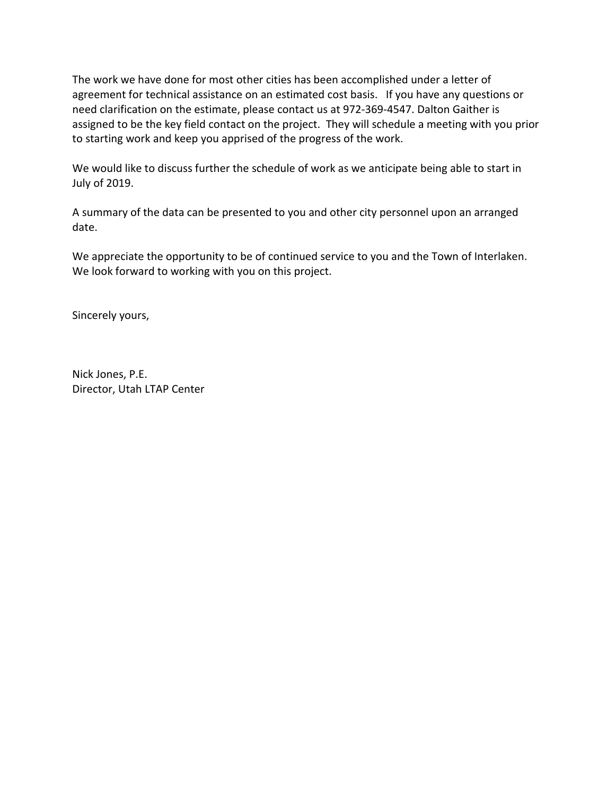The work we have done for most other cities has been accomplished under a letter of agreement for technical assistance on an estimated cost basis. If you have any questions or need clarification on the estimate, please contact us at 972-369-4547. Dalton Gaither is assigned to be the key field contact on the project. They will schedule a meeting with you prior to starting work and keep you apprised of the progress of the work.

We would like to discuss further the schedule of work as we anticipate being able to start in July of 2019.

A summary of the data can be presented to you and other city personnel upon an arranged date.

We appreciate the opportunity to be of continued service to you and the Town of Interlaken. We look forward to working with you on this project.

Sincerely yours,

Nick Jones, P.E. Director, Utah LTAP Center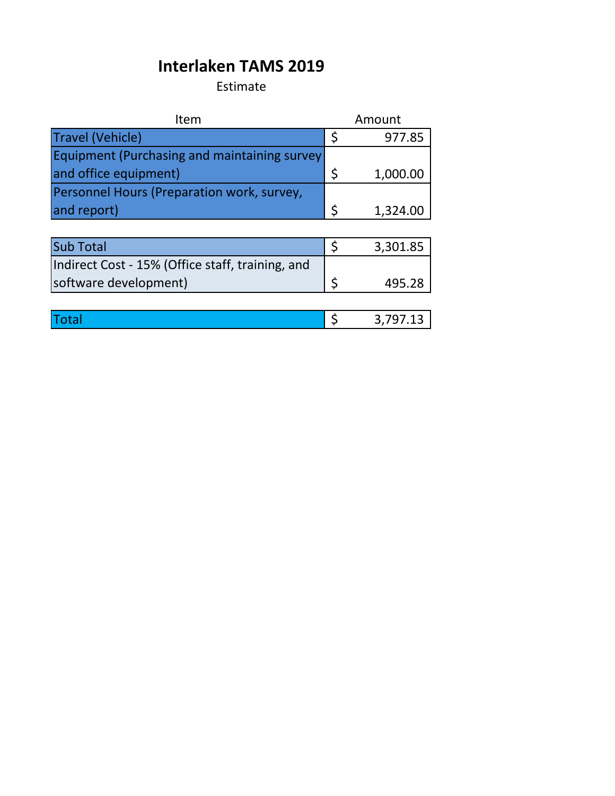## **Interlaken TAMS 2019**

Estimate

| Item                                             |    | Amount   |
|--------------------------------------------------|----|----------|
| <b>Travel (Vehicle)</b>                          | \$ | 977.85   |
| Equipment (Purchasing and maintaining survey     |    |          |
| and office equipment)                            | \$ | 1,000.00 |
| Personnel Hours (Preparation work, survey,       |    |          |
| and report)                                      | \$ | 1,324.00 |
|                                                  |    |          |
| <b>Sub Total</b>                                 | \$ | 3,301.85 |
| Indirect Cost - 15% (Office staff, training, and |    |          |
| software development)                            | Ś  | 495.28   |
|                                                  |    |          |
| otal                                             |    | 3,797.13 |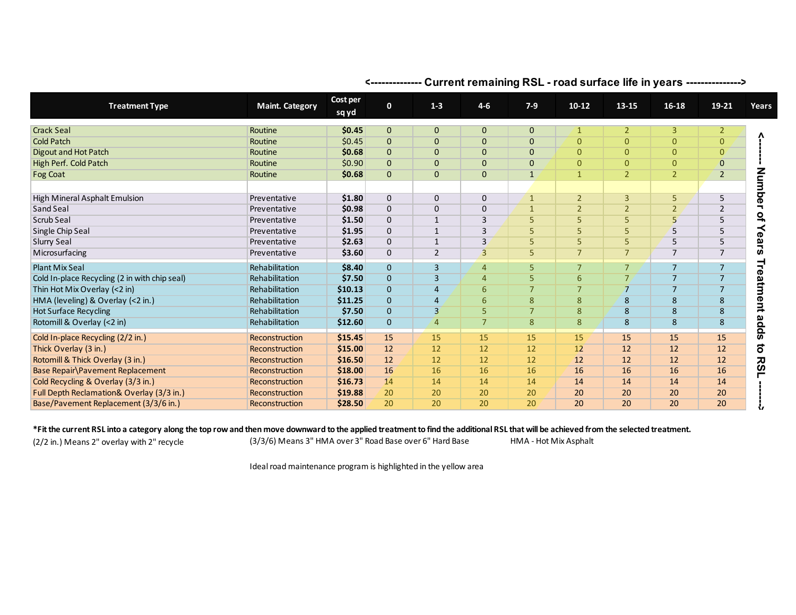| <b>Treatment Type</b>                         | <b>Maint. Category</b> | Cost per<br>sq yd | $\mathbf{0}$ | $1 - 3$        | $4 - 6$        | $7-9$          | $10 - 12$      | 13-15          | $16 - 18$      | 19-21          | Years            |
|-----------------------------------------------|------------------------|-------------------|--------------|----------------|----------------|----------------|----------------|----------------|----------------|----------------|------------------|
| <b>Crack Seal</b>                             | Routine                | \$0.45            | $\mathbf{0}$ | $\mathbf{0}$   | $\mathbf 0$    | $\mathbf{0}$   | $\mathbf{1}$   | $\overline{2}$ | $\overline{3}$ | $\overline{2}$ |                  |
| <b>Cold Patch</b>                             | Routine                | \$0.45            | $\mathbf{0}$ | $\mathbf{0}$   | $\mathbf 0$    | $\mathbf{0}$   | $\mathbf{0}$   | $\overline{0}$ | $\mathbf{0}$   | $\mathbf{0}$   |                  |
| Digout and Hot Patch                          | Routine                | \$0.68            | $\mathbf 0$  | $\mathbf{0}$   | $\mathbf 0$    | $\mathbf{0}$   | $\mathbf{0}$   | $\overline{0}$ | $\mathbf{0}$   | $\mathbf{0}$   |                  |
| High Perf. Cold Patch                         | Routine                | \$0.90            | $\mathbf 0$  | $\mathbf{0}$   | $\mathbf 0$    | $\mathbf 0$    | $\mathbf{0}$   | $\overline{0}$ | $\mathbf{0}$   | $\mathbf{0}$   |                  |
| Fog Coat                                      | Routine                | \$0.68            | $\mathbf{0}$ | $\mathbf{0}$   | $\mathbf 0$    | $\mathbf{1}$   | $\mathbf{1}$   | $\overline{2}$ | $\overline{2}$ | $\overline{2}$ | Mum              |
| High Mineral Asphalt Emulsion                 | Preventative           | \$1.80            | 0            | $\mathbf{0}$   | $\mathbf{0}$   | $\mathbf{1}$   | $\overline{2}$ | $\overline{3}$ | 5              | 5              | 9Ó               |
| Sand Seal                                     | Preventative           | \$0.98            | $\mathbf 0$  | $\Omega$       | $\mathbf 0$    | $\mathbf{1}$   | $\overline{2}$ | $\overline{2}$ | $\overline{2}$ | 2              |                  |
| Scrub Seal                                    | Preventative           | \$1.50            | $\mathbf 0$  | $\mathbf{1}$   | 3              | 5              | 5              | 5              | 5              | 5              | $\mathbf{a}$     |
| Single Chip Seal                              | Preventative           | \$1.95            | $\mathbf 0$  | $\mathbf{1}$   | $\overline{3}$ | 5              | 5              | 5              | 5              | 5              | $\mathbf \sigma$ |
| Slurry Seal                                   | Preventative           | \$2.63            | $\mathbf 0$  | $\mathbf{1}$   | 3              | 5              | 5              | 5              | 5              | 5              | ق                |
| Microsurfacing                                | Preventative           | \$3.60            | 0            | $\overline{2}$ | $\overline{3}$ | 5              | $\overline{7}$ | $\overline{7}$ | $\overline{7}$ | $\overline{7}$ | U)               |
| <b>Plant Mix Seal</b>                         | Rehabilitation         | \$8.40            | $\mathbf{0}$ | $\overline{3}$ | $\overline{4}$ | 5              | $\overline{7}$ | $\overline{7}$ | $\overline{7}$ | $\overline{7}$ | ₹                |
| Cold In-place Recycling (2 in with chip seal) | Rehabilitation         | \$7.50            | $\mathbf{0}$ | $\overline{3}$ | $\overline{4}$ | 5              | 6              | $\overline{7}$ | $\overline{7}$ | $\overline{7}$ |                  |
| Thin Hot Mix Overlay (<2 in)                  | Rehabilitation         | \$10.13           | $\mathbf{0}$ | $\overline{4}$ | 6              | $\overline{7}$ | $\overline{7}$ | $\overline{7}$ | $\overline{7}$ | $\overline{7}$ | eatm             |
| HMA (leveling) & Overlay (<2 in.)             | Rehabilitation         | \$11.25           | $\mathbf{0}$ | 4              | 6              | 8              | 8              | 8              | 8              | 8              | ent              |
| <b>Hot Surface Recycling</b>                  | Rehabilitation         | \$7.50            | $\mathbf{0}$ | $\overline{3}$ | 5              | $\overline{7}$ | 8              | 8              | 8              | 8              |                  |
| Rotomill & Overlay (<2 in)                    | Rehabilitation         | \$12.60           | $\mathbf{0}$ | $\overline{4}$ | $\overline{7}$ | 8              | 8              | 8              | 8              | 8              | adds             |
| Cold In-place Recycling (2/2 in.)             | Reconstruction         | \$15.45           | 15           | 15             | 15             | 15             | 15             | 15             | 15             | 15             |                  |
| Thick Overlay (3 in.)                         | Reconstruction         | \$15.00           | 12           | 12             | 12             | 12             | 12             | 12             | 12             | 12             | $\overline{5}$   |
| Rotomill & Thick Overlay (3 in.)              | Reconstruction         | \$16.50           | 12           | 12             | 12             | 12             | 12             | 12             | 12             | 12             | <b>RS1</b>       |
| Base Repair \Pavement Replacement             | Reconstruction         | \$18.00           | 16           | 16             | 16             | 16             | 16             | 16             | 16             | 16             |                  |
| Cold Recycling & Overlay (3/3 in.)            | Reconstruction         | \$16.73           | 14           | 14             | 14             | 14             | 14             | 14             | 14             | 14             |                  |
| Full Depth Reclamation& Overlay (3/3 in.)     | Reconstruction         | \$19.88           | 20           | 20             | 20             | 20             | 20             | 20             | 20             | 20             |                  |
| Base/Pavement Replacement (3/3/6 in.)         | Reconstruction         | \$28.50           | 20           | 20             | 20             | 20             | 20             | 20             | 20             | 20             | Ŵ                |

#### **<-------------- Current remaining RSL - road surface life in years --------------->**

**\*Fit the current RSL into a category along the top row and then move downward to the applied treatment to find the additional RSL that will be achieved from the selected treatment.**

(2/2 in.) Means 2" overlay with 2" recycle HMA - Hot Mix Asphalt (3/3/6) Means 3" HMA over 3" Road Base over 6" Hard Base

Ideal road maintenance program is highlighted in the yellow area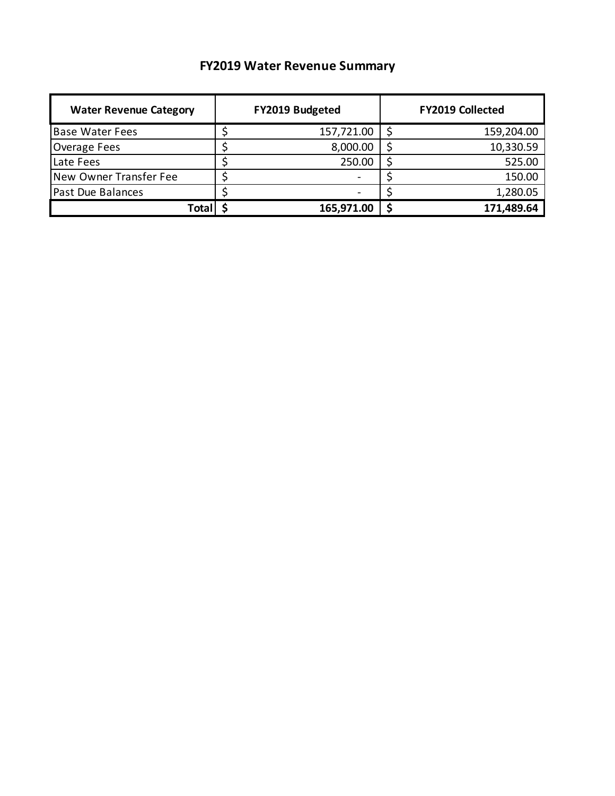### **FY2019 Water Revenue Summary**

| <b>Water Revenue Category</b> | FY2019 Budgeted | <b>FY2019 Collected</b> |            |  |
|-------------------------------|-----------------|-------------------------|------------|--|
| <b>Base Water Fees</b>        | 157,721.00      |                         | 159,204.00 |  |
| Overage Fees                  | 8,000.00        |                         | 10,330.59  |  |
| Late Fees                     | 250.00          |                         | 525.00     |  |
| New Owner Transfer Fee        |                 |                         | 150.00     |  |
| <b>Past Due Balances</b>      |                 |                         | 1,280.05   |  |
| Tota                          | 165,971.00      |                         | 171,489.64 |  |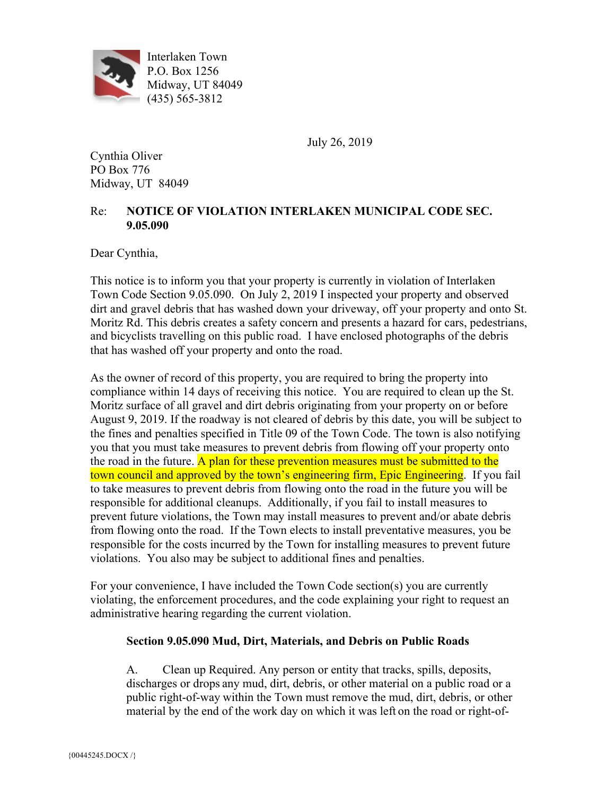

Interlaken Town P.O. Box 1256 Midway, UT 84049 (435) 565-3812

July 26, 2019

Cynthia Oliver PO Box 776 Midway, UT 84049

#### Re: **NOTICE OF VIOLATION INTERLAKEN MUNICIPAL CODE SEC. 9.05.090**

Dear Cynthia,

This notice is to inform you that your property is currently in violation of Interlaken Town Code Section 9.05.090. On July 2, 2019 I inspected your property and observed dirt and gravel debris that has washed down your driveway, off your property and onto St. Moritz Rd. This debris creates a safety concern and presents a hazard for cars, pedestrians, and bicyclists travelling on this public road. I have enclosed photographs of the debris that has washed off your property and onto the road.

As the owner of record of this property, you are required to bring the property into compliance within 14 days of receiving this notice. You are required to clean up the St. Moritz surface of all gravel and dirt debris originating from your property on or before August 9, 2019. If the roadway is not cleared of debris by this date, you will be subject to the fines and penalties specified in Title 09 of the Town Code. The town is also notifying you that you must take measures to prevent debris from flowing off your property onto the road in the future. A plan for these prevention measures must be submitted to the town council and approved by the town's engineering firm, Epic Engineering. If you fail to take measures to prevent debris from flowing onto the road in the future you will be responsible for additional cleanups. Additionally, if you fail to install measures to prevent future violations, the Town may install measures to prevent and/or abate debris from flowing onto the road. If the Town elects to install preventative measures, you be responsible for the costs incurred by the Town for installing measures to prevent future violations. You also may be subject to additional fines and penalties.

For your convenience, I have included the Town Code section(s) you are currently violating, the enforcement procedures, and the code explaining your right to request an administrative hearing regarding the current violation.

#### **Section 9.05.090 Mud, Dirt, Materials, and Debris on Public Roads**

A. Clean up Required. Any person or entity that tracks, spills, deposits, discharges or drops any mud, dirt, debris, or other material on a public road or a public right-of-way within the Town must remove the mud, dirt, debris, or other material by the end of the work day on which it was left on the road or right-of-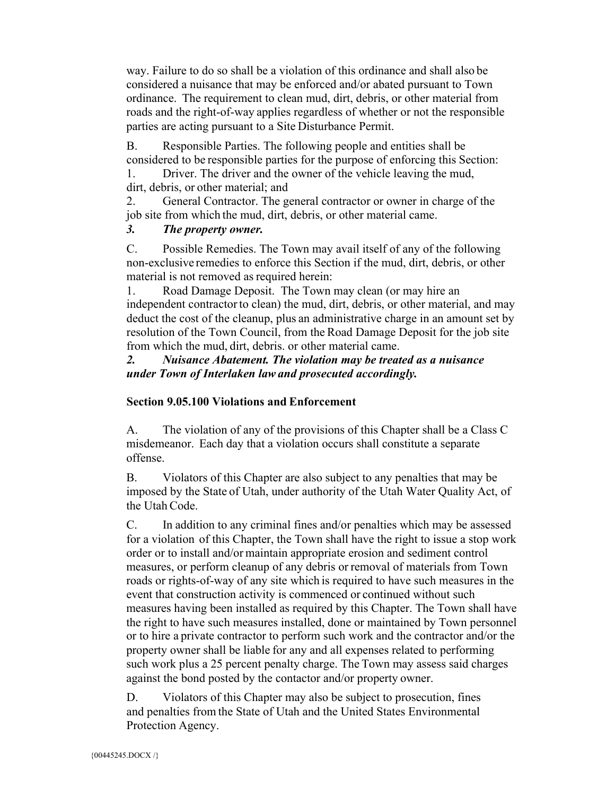way. Failure to do so shall be a violation of this ordinance and shall also be considered a nuisance that may be enforced and/or abated pursuant to Town ordinance. The requirement to clean mud, dirt, debris, or other material from roads and the right-of-way applies regardless of whether or not the responsible parties are acting pursuant to a Site Disturbance Permit.

B. Responsible Parties. The following people and entities shall be considered to be responsible parties for the purpose of enforcing this Section:

1. Driver. The driver and the owner of the vehicle leaving the mud, dirt, debris, or other material; and

2. General Contractor. The general contractor or owner in charge of the job site from which the mud, dirt, debris, or other material came.

#### *3. The property owner.*

C. Possible Remedies. The Town may avail itself of any of the following non-exclusive remedies to enforce this Section if the mud, dirt, debris, or other material is not removed as required herein:

1. Road Damage Deposit. The Town may clean (or may hire an independent contractor to clean) the mud, dirt, debris, or other material, and may deduct the cost of the cleanup, plus an administrative charge in an amount set by resolution of the Town Council, from the Road Damage Deposit for the job site from which the mud, dirt, debris. or other material came.

#### *2. Nuisance Abatement. The violation may be treated as a nuisance under Town of Interlaken lawand prosecuted accordingly.*

#### **Section 9.05.100 Violations and Enforcement**

A. The violation of any of the provisions of this Chapter shall be a Class C misdemeanor. Each day that a violation occurs shall constitute a separate offense.

B. Violators of this Chapter are also subject to any penalties that may be imposed by the State of Utah, under authority of the Utah Water Quality Act, of the Utah Code.

C. In addition to any criminal fines and/or penalties which may be assessed for a violation of this Chapter, the Town shall have the right to issue a stop work order or to install and/or maintain appropriate erosion and sediment control measures, or perform cleanup of any debris or removal of materials from Town roads or rights-of-way of any site which is required to have such measures in the event that construction activity is commenced or continued without such measures having been installed as required by this Chapter. The Town shall have the right to have such measures installed, done or maintained by Town personnel or to hire a private contractor to perform such work and the contractor and/or the property owner shall be liable for any and all expenses related to performing such work plus a 25 percent penalty charge. The Town may assess said charges against the bond posted by the contactor and/or property owner.

D. Violators of this Chapter may also be subject to prosecution, fines and penalties from the State of Utah and the United States Environmental Protection Agency.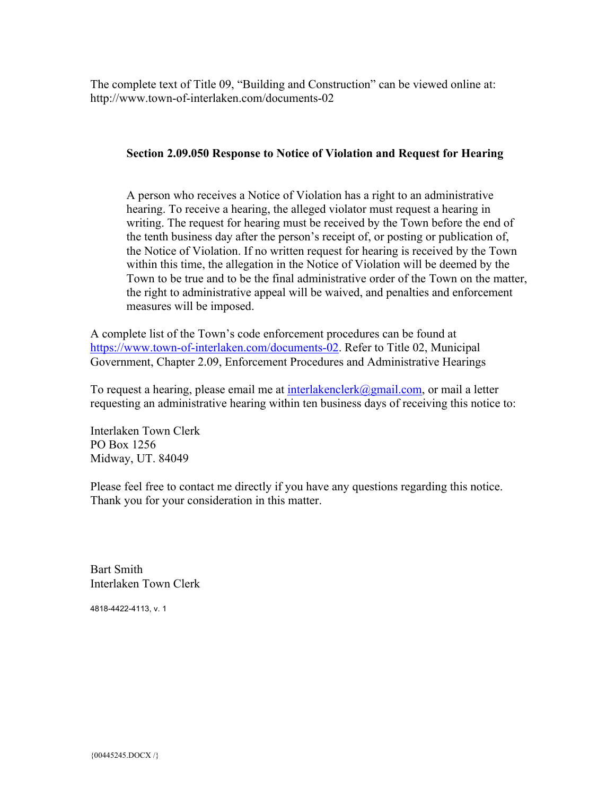The complete text of Title 09, "Building and Construction" can be viewed online at: http://www.town-of-interlaken.com/documents-02

#### **Section 2.09.050 Response to Notice of Violation and Request for Hearing**

A person who receives a Notice of Violation has a right to an administrative hearing. To receive a hearing, the alleged violator must request a hearing in writing. The request for hearing must be received by the Town before the end of the tenth business day after the person's receipt of, or posting or publication of, the Notice of Violation. If no written request for hearing is received by the Town within this time, the allegation in the Notice of Violation will be deemed by the Town to be true and to be the final administrative order of the Town on the matter, the right to administrative appeal will be waived, and penalties and enforcement measures will be imposed.

A complete list of the Town's code enforcement procedures can be found at https://www.town-of-interlaken.com/documents-02. Refer to Title 02, Municipal Government, Chapter 2.09, Enforcement Procedures and Administrative Hearings

To request a hearing, please email me at interlakenclerk@gmail.com, or mail a letter requesting an administrative hearing within ten business days of receiving this notice to:

Interlaken Town Clerk PO Box 1256 Midway, UT. 84049

Please feel free to contact me directly if you have any questions regarding this notice. Thank you for your consideration in this matter.

Bart Smith Interlaken Town Clerk

4818-4422-4113, v. 1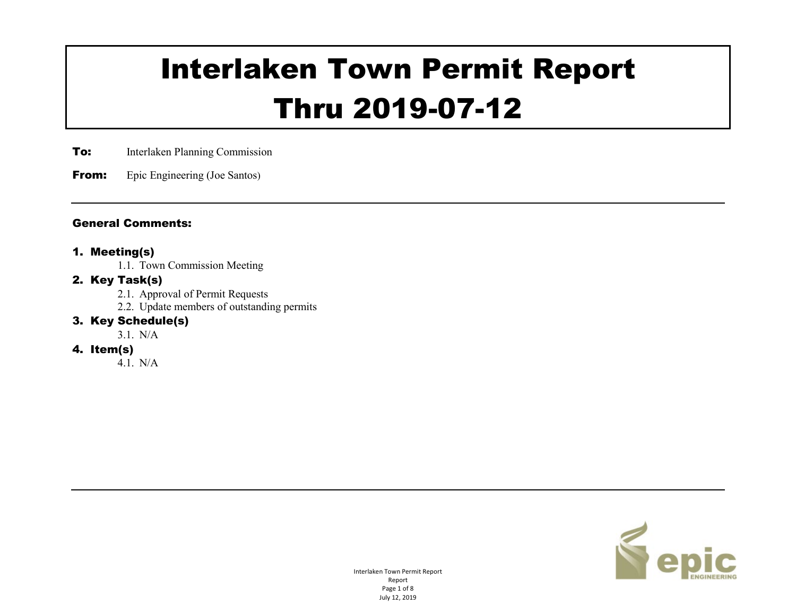# Interlaken Town Permit Report Thru 2019-07-12

**To:** Interlaken Planning Commission

**From:** Epic Engineering (Joe Santos)

#### General Comments:

#### 1. Meeting(s)

1.1. Town Commission Meeting

#### 2. Key Task(s)

- 2.1. Approval of Permit Requests
- 2.2. Update members of outstanding permits

#### 3. Key Schedule(s)

3.1. N/A

#### 4. Item(s)

4.1. N/A



Interlaken Town Permit Report Report Page 1 of 8 July 12, 2019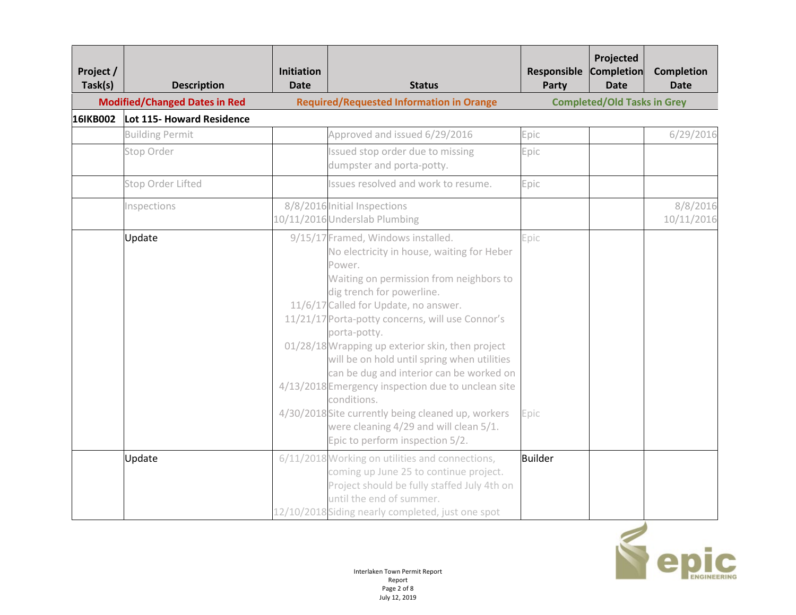| Project /<br>Task(s) | <b>Description</b>                   | <b>Initiation</b><br><b>Date</b> | <b>Status</b>                                                                                                                                                                                                                                                                                                                                                                                                                                                                                                                                                                                                                          | Responsible<br>Party | Projected<br>Completion<br><b>Date</b> | <b>Completion</b><br><b>Date</b> |
|----------------------|--------------------------------------|----------------------------------|----------------------------------------------------------------------------------------------------------------------------------------------------------------------------------------------------------------------------------------------------------------------------------------------------------------------------------------------------------------------------------------------------------------------------------------------------------------------------------------------------------------------------------------------------------------------------------------------------------------------------------------|----------------------|----------------------------------------|----------------------------------|
|                      | <b>Modified/Changed Dates in Red</b> |                                  | <b>Required/Requested Information in Orange</b>                                                                                                                                                                                                                                                                                                                                                                                                                                                                                                                                                                                        |                      | <b>Completed/Old Tasks in Grey</b>     |                                  |
| 16IKB002             | Lot 115- Howard Residence            |                                  |                                                                                                                                                                                                                                                                                                                                                                                                                                                                                                                                                                                                                                        |                      |                                        |                                  |
|                      | <b>Building Permit</b>               |                                  | Approved and issued 6/29/2016                                                                                                                                                                                                                                                                                                                                                                                                                                                                                                                                                                                                          | Epic                 |                                        | 6/29/2016                        |
|                      | Stop Order                           |                                  | Issued stop order due to missing<br>dumpster and porta-potty.                                                                                                                                                                                                                                                                                                                                                                                                                                                                                                                                                                          | Epic                 |                                        |                                  |
|                      | Stop Order Lifted                    |                                  | Issues resolved and work to resume.                                                                                                                                                                                                                                                                                                                                                                                                                                                                                                                                                                                                    | Epic                 |                                        |                                  |
|                      | Inspections                          |                                  | 8/8/2016 Initial Inspections<br>10/11/2016 Underslab Plumbing                                                                                                                                                                                                                                                                                                                                                                                                                                                                                                                                                                          |                      |                                        | 8/8/2016<br>10/11/2016           |
|                      | Update                               |                                  | 9/15/17 Framed, Windows installed.<br>No electricity in house, waiting for Heber<br>Power.<br>Waiting on permission from neighbors to<br>dig trench for powerline.<br>11/6/17 Called for Update, no answer.<br>11/21/17 Porta-potty concerns, will use Connor's<br>porta-potty.<br>01/28/18 Wrapping up exterior skin, then project<br>will be on hold until spring when utilities<br>can be dug and interior can be worked on<br>4/13/2018 Emergency inspection due to unclean site<br>conditions.<br>4/30/2018 Site currently being cleaned up, workers<br>were cleaning 4/29 and will clean 5/1.<br>Epic to perform inspection 5/2. | Epic<br>Epic         |                                        |                                  |
|                      | Update                               |                                  | 6/11/2018 Working on utilities and connections,<br>coming up June 25 to continue project.<br>Project should be fully staffed July 4th on<br>until the end of summer.<br>12/10/2018 Siding nearly completed, just one spot                                                                                                                                                                                                                                                                                                                                                                                                              | Builder              |                                        |                                  |

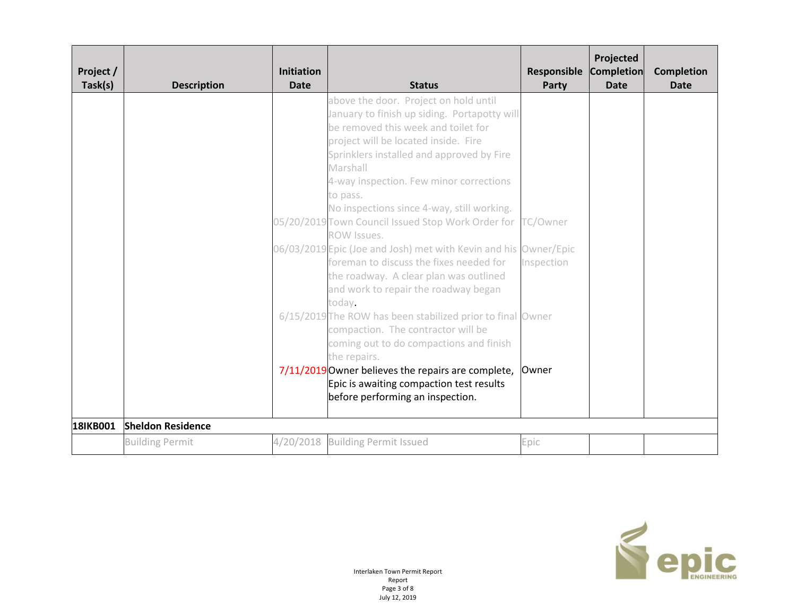| Project /<br>Task(s) | <b>Description</b>                                 | <b>Initiation</b><br><b>Date</b> | <b>Status</b>                                                                                                                                                                                                                                                                                                                                                                                                                                                                                                                                                                                                                                                                                                                                                                                                                                                                                                           | <b>Responsible</b><br>Party     | Projected<br><b>Completion</b><br><b>Date</b> | <b>Completion</b><br><b>Date</b> |
|----------------------|----------------------------------------------------|----------------------------------|-------------------------------------------------------------------------------------------------------------------------------------------------------------------------------------------------------------------------------------------------------------------------------------------------------------------------------------------------------------------------------------------------------------------------------------------------------------------------------------------------------------------------------------------------------------------------------------------------------------------------------------------------------------------------------------------------------------------------------------------------------------------------------------------------------------------------------------------------------------------------------------------------------------------------|---------------------------------|-----------------------------------------------|----------------------------------|
|                      |                                                    |                                  | above the door. Project on hold until<br>January to finish up siding. Portapotty will<br>be removed this week and toilet for<br>project will be located inside. Fire<br>Sprinklers installed and approved by Fire<br>Marshall<br>4-way inspection. Few minor corrections<br>to pass.<br>No inspections since 4-way, still working.<br>05/20/2019 Town Council Issued Stop Work Order for<br>ROW Issues.<br>06/03/2019 Epic (Joe and Josh) met with Kevin and his Owner/Epic<br>foreman to discuss the fixes needed for<br>the roadway. A clear plan was outlined<br>and work to repair the roadway began<br>today.<br>6/15/2019 The ROW has been stabilized prior to final Owner<br>compaction. The contractor will be<br>coming out to do compactions and finish<br>the repairs.<br>7/11/2019 Owner believes the repairs are complete,<br>Epic is awaiting compaction test results<br>before performing an inspection. | TC/Owner<br>Inspection<br>Owner |                                               |                                  |
| 18IKB001             | <b>Sheldon Residence</b><br><b>Building Permit</b> |                                  | 4/20/2018 Building Permit Issued                                                                                                                                                                                                                                                                                                                                                                                                                                                                                                                                                                                                                                                                                                                                                                                                                                                                                        | Epic                            |                                               |                                  |
|                      |                                                    |                                  |                                                                                                                                                                                                                                                                                                                                                                                                                                                                                                                                                                                                                                                                                                                                                                                                                                                                                                                         |                                 |                                               |                                  |

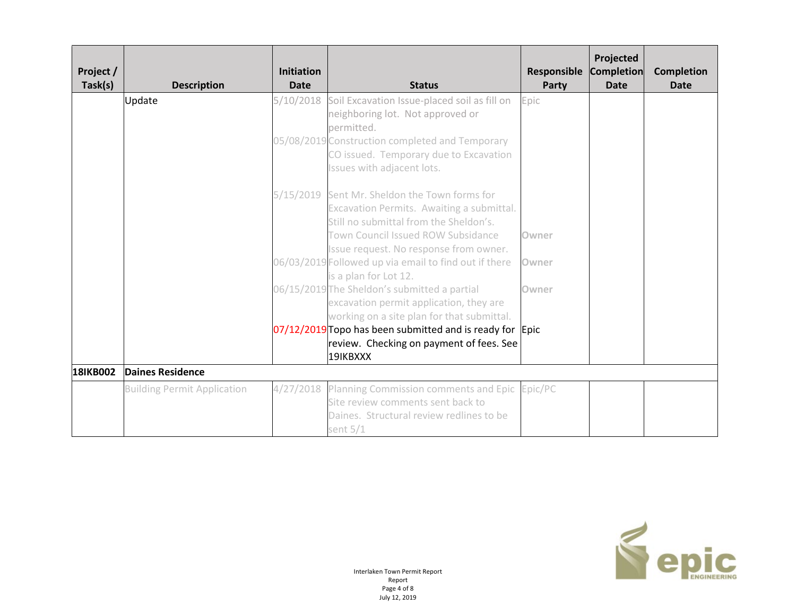| Project /<br>Task(s) | <b>Description</b>                 | <b>Initiation</b><br><b>Date</b> | <b>Status</b>                                                                                                                                | Responsible<br>Party | Projected<br><b>Completion</b><br><b>Date</b> | <b>Completion</b><br><b>Date</b> |
|----------------------|------------------------------------|----------------------------------|----------------------------------------------------------------------------------------------------------------------------------------------|----------------------|-----------------------------------------------|----------------------------------|
|                      | Update                             | 5/10/2018                        | Soil Excavation Issue-placed soil as fill on<br>neighboring lot. Not approved or<br>permitted.                                               | Epic                 |                                               |                                  |
|                      |                                    |                                  | 05/08/2019 Construction completed and Temporary<br>CO issued. Temporary due to Excavation<br>Issues with adjacent lots.                      |                      |                                               |                                  |
|                      |                                    |                                  | 5/15/2019 Sent Mr. Sheldon the Town forms for<br>Excavation Permits. Awaiting a submittal.<br>Still no submittal from the Sheldon's.         |                      |                                               |                                  |
|                      |                                    |                                  | Town Council Issued ROW Subsidance<br>Issue request. No response from owner.                                                                 | Owner                |                                               |                                  |
|                      |                                    |                                  | 06/03/2019 Followed up via email to find out if there<br>is a plan for Lot 12.                                                               | Owner                |                                               |                                  |
|                      |                                    |                                  | 06/15/2019 The Sheldon's submitted a partial<br>excavation permit application, they are<br>working on a site plan for that submittal.        | Owner                |                                               |                                  |
|                      |                                    |                                  | $07/12/2019$ Topo has been submitted and is ready for Epic<br>review. Checking on payment of fees. See<br>19IKBXXX                           |                      |                                               |                                  |
| 18IKB002             | <b>Daines Residence</b>            |                                  |                                                                                                                                              |                      |                                               |                                  |
|                      | <b>Building Permit Application</b> | 4/27/2018                        | Planning Commission comments and Epic Epic/PC<br>Site review comments sent back to<br>Daines. Structural review redlines to be<br>sent $5/1$ |                      |                                               |                                  |

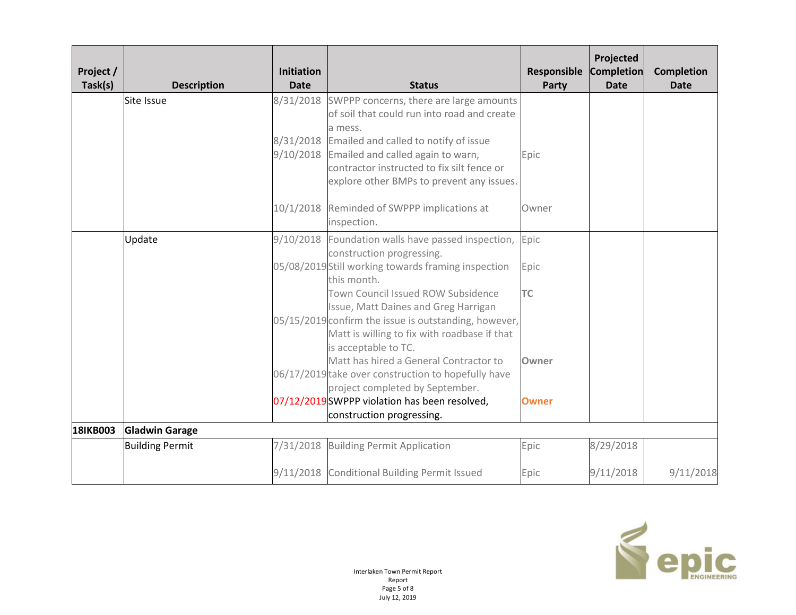| Project /<br>Task(s) | <b>Description</b>     | <b>Initiation</b><br><b>Date</b> | <b>Status</b>                                                                                                                                                                                                                                                                                                                                                                                                                                                                                                                                                                          | Responsible<br>Party                               | Projected<br><b>Completion</b><br><b>Date</b> | <b>Completion</b><br><b>Date</b> |
|----------------------|------------------------|----------------------------------|----------------------------------------------------------------------------------------------------------------------------------------------------------------------------------------------------------------------------------------------------------------------------------------------------------------------------------------------------------------------------------------------------------------------------------------------------------------------------------------------------------------------------------------------------------------------------------------|----------------------------------------------------|-----------------------------------------------|----------------------------------|
|                      | Site Issue             |                                  | 8/31/2018 SWPPP concerns, there are large amounts<br>of soil that could run into road and create<br>a mess.<br>8/31/2018 Emailed and called to notify of issue<br>9/10/2018 Emailed and called again to warn,<br>contractor instructed to fix silt fence or<br>explore other BMPs to prevent any issues.                                                                                                                                                                                                                                                                               | Epic                                               |                                               |                                  |
|                      |                        |                                  | 10/1/2018 Reminded of SWPPP implications at<br>inspection.                                                                                                                                                                                                                                                                                                                                                                                                                                                                                                                             | Owner                                              |                                               |                                  |
|                      | Update                 |                                  | 9/10/2018 Foundation walls have passed inspection,<br>construction progressing.<br>05/08/2019 Still working towards framing inspection<br>this month.<br>Town Council Issued ROW Subsidence<br>Issue, Matt Daines and Greg Harrigan<br>05/15/2019 confirm the issue is outstanding, however,<br>Matt is willing to fix with roadbase if that<br>is acceptable to TC.<br>Matt has hired a General Contractor to<br>06/17/2019 take over construction to hopefully have<br>project completed by September.<br>07/12/2019 SWPPP violation has been resolved,<br>construction progressing. | Epic<br>Epic<br><b>TC</b><br>Owner<br><b>Owner</b> |                                               |                                  |
| <b>18IKB003</b>      | <b>Gladwin Garage</b>  |                                  |                                                                                                                                                                                                                                                                                                                                                                                                                                                                                                                                                                                        |                                                    |                                               |                                  |
|                      | <b>Building Permit</b> | 7/31/2018                        | <b>Building Permit Application</b>                                                                                                                                                                                                                                                                                                                                                                                                                                                                                                                                                     | Epic                                               | 8/29/2018                                     |                                  |
|                      |                        |                                  | 9/11/2018 Conditional Building Permit Issued                                                                                                                                                                                                                                                                                                                                                                                                                                                                                                                                           | Epic                                               | 9/11/2018                                     | 9/11/2018                        |

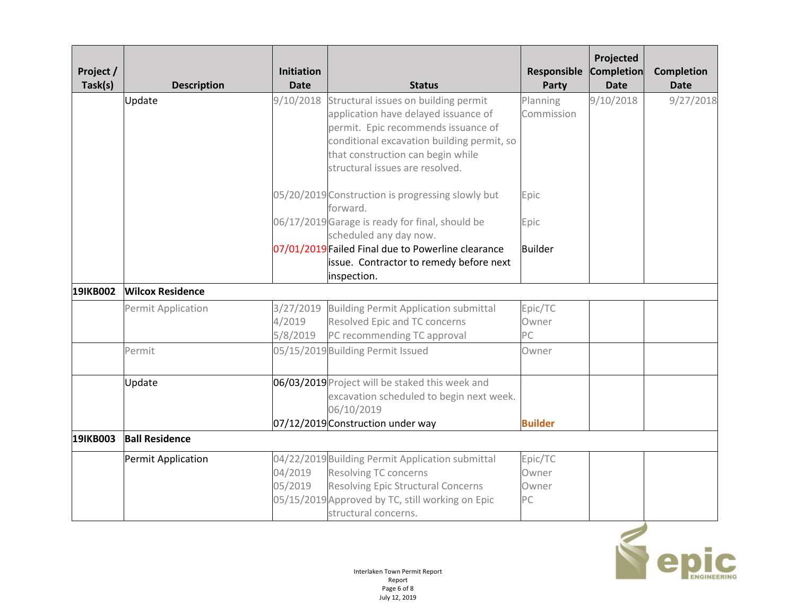| Project /<br>Task(s) | <b>Description</b>      | <b>Initiation</b><br><b>Date</b> | <b>Status</b>                                                                                                                                                                                                                                       | Responsible<br>Party            | Projected<br><b>Completion</b><br><b>Date</b> | <b>Completion</b><br><b>Date</b> |
|----------------------|-------------------------|----------------------------------|-----------------------------------------------------------------------------------------------------------------------------------------------------------------------------------------------------------------------------------------------------|---------------------------------|-----------------------------------------------|----------------------------------|
|                      | Update                  |                                  | 9/10/2018 Structural issues on building permit<br>application have delayed issuance of<br>permit. Epic recommends issuance of<br>conditional excavation building permit, so<br>that construction can begin while<br>structural issues are resolved. | Planning<br>Commission          | 9/10/2018                                     | 9/27/2018                        |
|                      |                         |                                  | 05/20/2019 Construction is progressing slowly but<br>forward.                                                                                                                                                                                       | Epic                            |                                               |                                  |
|                      |                         |                                  | 06/17/2019 Garage is ready for final, should be<br>scheduled any day now.                                                                                                                                                                           | Epic                            |                                               |                                  |
|                      |                         |                                  | 07/01/2019 Failed Final due to Powerline clearance<br>issue. Contractor to remedy before next<br>inspection.                                                                                                                                        | <b>Builder</b>                  |                                               |                                  |
| 191KB002             | <b>Wilcox Residence</b> |                                  |                                                                                                                                                                                                                                                     |                                 |                                               |                                  |
|                      | Permit Application      | 3/27/2019<br>4/2019<br>5/8/2019  | <b>Building Permit Application submittal</b><br>Resolved Epic and TC concerns<br>PC recommending TC approval                                                                                                                                        | Epic/TC<br>Owner<br>PC          |                                               |                                  |
|                      | Permit                  |                                  | 05/15/2019 Building Permit Issued                                                                                                                                                                                                                   | Owner                           |                                               |                                  |
|                      | Update                  |                                  | 06/03/2019 Project will be staked this week and<br>excavation scheduled to begin next week.<br>06/10/2019<br>07/12/2019 Construction under way                                                                                                      | <b>Builder</b>                  |                                               |                                  |
| 19IKB003             | <b>Ball Residence</b>   |                                  |                                                                                                                                                                                                                                                     |                                 |                                               |                                  |
|                      | Permit Application      | 04/2019<br>05/2019               | 04/22/2019 Building Permit Application submittal<br><b>Resolving TC concerns</b><br><b>Resolving Epic Structural Concerns</b><br>05/15/2019 Approved by TC, still working on Epic<br>structural concerns.                                           | Epic/TC<br>Owner<br>Owner<br>PC |                                               |                                  |

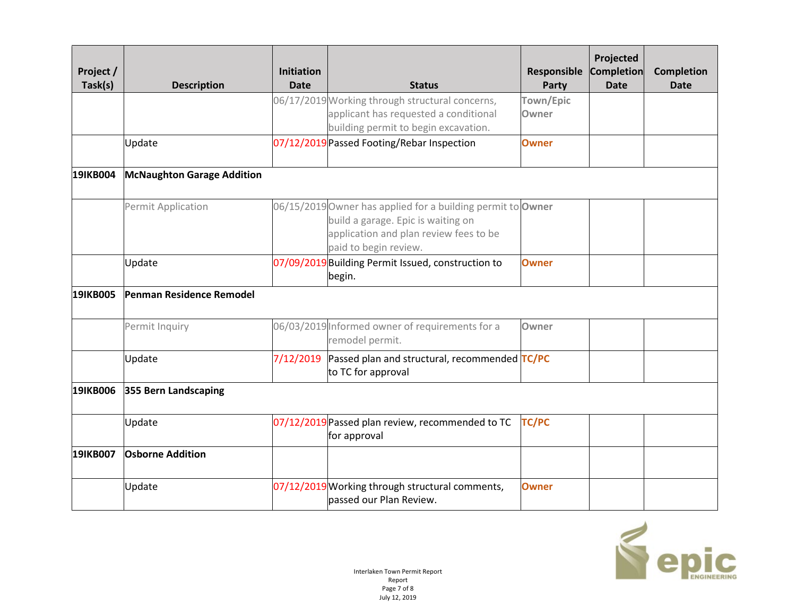| Project /<br>Task(s) | <b>Description</b>                | <b>Initiation</b><br><b>Date</b> | <b>Status</b>                                                                                                                                                        | Responsible<br>Party | Projected<br><b>Completion</b><br><b>Date</b> | <b>Completion</b><br><b>Date</b> |
|----------------------|-----------------------------------|----------------------------------|----------------------------------------------------------------------------------------------------------------------------------------------------------------------|----------------------|-----------------------------------------------|----------------------------------|
|                      |                                   |                                  | 06/17/2019 Working through structural concerns,<br>applicant has requested a conditional<br>building permit to begin excavation.                                     | Town/Epic<br>Owner   |                                               |                                  |
|                      | Update                            |                                  | 07/12/2019 Passed Footing/Rebar Inspection                                                                                                                           | <b>Owner</b>         |                                               |                                  |
| 191KB004             | <b>McNaughton Garage Addition</b> |                                  |                                                                                                                                                                      |                      |                                               |                                  |
|                      | Permit Application                |                                  | 06/15/2019 Owner has applied for a building permit to Owner<br>build a garage. Epic is waiting on<br>application and plan review fees to be<br>paid to begin review. |                      |                                               |                                  |
|                      | Update                            |                                  | 07/09/2019 Building Permit Issued, construction to<br>begin.                                                                                                         | <b>Owner</b>         |                                               |                                  |
| <b>19IKB005</b>      | Penman Residence Remodel          |                                  |                                                                                                                                                                      |                      |                                               |                                  |
|                      | Permit Inquiry                    |                                  | 06/03/2019 Informed owner of requirements for a<br>remodel permit.                                                                                                   | Owner                |                                               |                                  |
|                      | Update                            | 7/12/2019                        | Passed plan and structural, recommended TC/PC<br>to TC for approval                                                                                                  |                      |                                               |                                  |
| 191KB006             | 355 Bern Landscaping              |                                  |                                                                                                                                                                      |                      |                                               |                                  |
|                      | Update                            |                                  | 07/12/2019 Passed plan review, recommended to TC<br>for approval                                                                                                     | <b>TC/PC</b>         |                                               |                                  |
| 191KB007             | <b>Osborne Addition</b>           |                                  |                                                                                                                                                                      |                      |                                               |                                  |
|                      | Update                            |                                  | 07/12/2019 Working through structural comments,<br>passed our Plan Review.                                                                                           | Owner                |                                               |                                  |